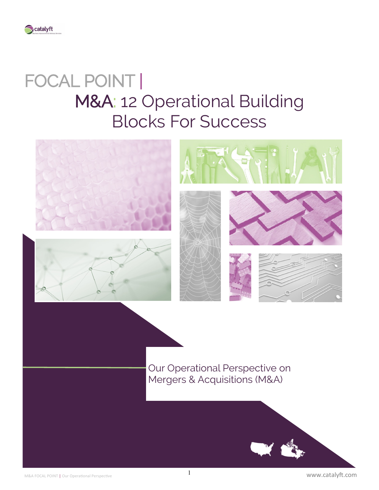

# FOCAL POINT | M&A: 12 Operational Building Blocks For Success



Our Operational Perspective on Mergers & Acquisitions (M&A)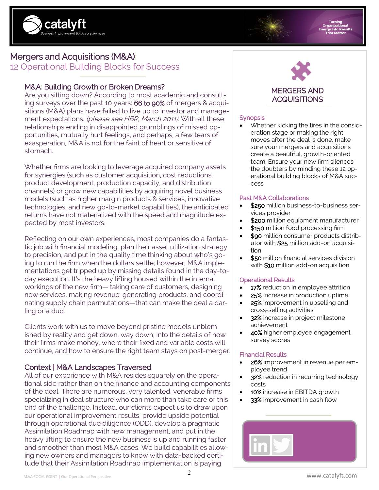

# Mergers and Acquisitions (M&A):

12 Operational Building Blocks for Success

# M&A: Building Growth or Broken Dreams?

Are you sitting down? According to most academic and consulting surveys over the past 10 years: 66 to 90% of mergers & acquisitions (M&A) plans have failed to live up to investor and management expectations. (please see HBR, March 2011). With all these relationships ending in disappointed grumblings of missed opportunities, mutually hurt feelings, and perhaps, a few tears of exasperation, M&A is not for the faint of heart or sensitive of stomach.

Whether firms are looking to leverage acquired company assets for synergies (such as customer acquisition, cost reductions, product development, production capacity, and distribution channels) or grow new capabilities by acquiring novel business models (such as higher margin products & services, innovative technologies, and new go-to-market capabilities), the anticipated returns have not materialized with the speed and magnitude expected by most investors.

Reflecting on our own experiences, most companies do a fantastic job with financial modeling, plan their asset utilization strategy to precision, and put in the quality time thinking about who's going to run the firm when the dollars settle; however, M&A implementations get tripped up by missing details found in the day-today execution. It's the heavy lifting housed within the internal workings of the new firm— taking care of customers, designing new services, making revenue-generating products, and coordinating supply chain permutations—that can make the deal a darling or a dud.

Clients work with us to move beyond pristine models unblemished by reality and get down, way down, into the details of how their firms make money, where their fixed and variable costs will continue, and how to ensure the right team stays on post-merger.

# Context | M&A Landscapes Traversed

All of our experience with M&A resides squarely on the operational side rather than on the finance and accounting components of the deal. There are numerous, very talented, venerable firms specializing in deal structure who can more than take care of this end of the challenge. Instead, our clients expect us to draw upon our operational improvement results, provide upside potential through operational due diligence (ODD), develop a pragmatic Assimilation Roadmap with new management, and put in the heavy lifting to ensure the new business is up and running faster and smoother than most M&A cases. We build capabilities allowing new owners and managers to know with data-backed certitude that their Assimilation Roadmap implementation is paying



# **Synopsis**

• Whether kicking the tires in the consideration stage or making the right moves after the deal is done, make sure your mergers and acquisitions create a beautiful, growth-oriented team. Ensure your new firm silences the doubters by minding these 12 operational building blocks of M&A success

#### Past M&A Collaborations

- \$250 million business-to-business services provider
- \$200 million equipment manufacturer
- \$150 million food processing firm
- \$90 million consumer products distributor with \$25 million add-on acquisition
- \$50 million financial services division with \$10 million add-on acquisition

#### Operational Results

- 17% reduction in employee attrition
- 25% increase in production uptime
- 25% improvement in upselling and cross-selling activities
- 32% increase in project milestone achievement
	- 40% higher employee engagement survey scores

### Financial Results

- 26% improvement in revenue per employee trend
- 32% reduction in recurring technology costs
- 10% increase in EBITDA growth
- 33% improvement in cash flow

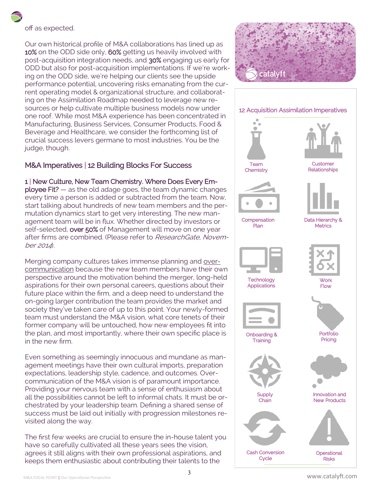# off as expected.

Our own historical profile of M&A collaborations has lined up as 10% on the ODD side only, 60% getting us heavily involved with post-acquisition integration needs, and 30% engaging us early for ODD but also for post-acquisition implementations. If we're working on the ODD side, we're helping our clients see the upside performance potential, uncovering risks emanating from the current operating model & organizational structure, and collaborating on the Assimilation Roadmap needed to leverage new resources or help cultivate multiple business models now under one roof. While most M&A experience has been concentrated in Manufacturing, Business Services, Consumer Products, Food & Beverage and Healthcare, we consider the forthcoming list of crucial success levers germane to most industries. You be the judge, though.

# M&A Imperatives | 12 Building Blocks For Success

# 1 | New Culture, New Team Chemistry. Where Does Every Em-

ployee Fit? — as the old adage goes, the team dynamic changes every time a person is added or subtracted from the team. Now, start talking about hundreds of new team members and the permutation dynamics start to get very interesting. The new management team will be in flux. Whether directed by investors or self-selected, over 50% of Management will move on one year after firms are combined. (Please refer to ResearchGate, November 2014).

Merging company cultures takes immense planning and overcommunication because the new team members have their own perspective around the motivation behind the merger, long-held aspirations for their own personal careers, questions about their future place within the firm, and a deep need to understand the on-going larger contribution the team provides the market and society they've taken care of up to this point. Your newly-formed team must understand the M&A vision, what core tenets of their former company will be untouched, how new employees fit into the plan, and most importantly, where their own specific place is in the new firm.

Even something as seemingly innocuous and mundane as management meetings have their own cultural imports, preparation expectations, leadership style, cadence, and outcomes. Overcommunication of the M&A vision is of paramount importance. Providing your nervous team with a sense of enthusiasm about all the possibilities cannot be left to informal chats. It must be orchestrated by your leadership team. Defining a shared sense of success must be laid out initially with progression milestones revisited along the way.

The first few weeks are crucial to ensure the in-house talent you have so carefully cultivated all these years sees the vision, agrees it still aligns with their own professional aspirations, and keeps them enthusiastic about contributing their talents to the





3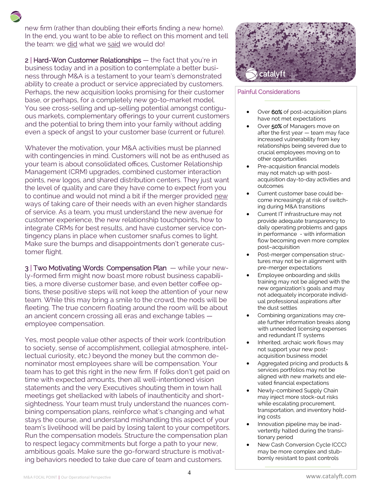new firm (rather than doubling their efforts finding a new home). In the end, you want to be able to reflect on this moment and tell the team: we did what we said we would do!

2 | Hard-Won Customer Relationships — the fact that you're in business today and in a position to contemplate a better business through M&A is a testament to your team's demonstrated ability to create a product or service appreciated by customers. Perhaps, the new acquisition looks promising for their customer base, or perhaps, for a completely new go-to-market model. You see cross-selling and up-selling potential amongst contiguous markets, complementary offerings to your current customers and the potential to bring them into your family without adding even a speck of angst to your customer base (current or future).

Whatever the motivation, your M&A activities must be planned with contingencies in mind. Customers will not be as enthused as your team is about consolidated offices, Customer Relationship Management (CRM) upgrades, combined customer interaction points, new logos, and shared distribution centers. They just want the level of quality and care they have come to expect from you to continue and would not mind a bit if the merger provided new ways of taking care of their needs with an even higher standards of service. As a team, you must understand the new avenue for customer experience, the new relationship touchpoints, how to integrate CRMs for best results, and have customer service contingency plans in place when customer snafus comes to light. Make sure the bumps and disappointments don't generate customer flight.

3 | Two Motivating Words: Compensation Plan - while your newly-formed firm might now boast more robust business capabilities, a more diverse customer base, and even better coffee options, these positive steps will not keep the attention of your new team. While this may bring a smile to the crowd, the nods will be fleeting. The true concern floating around the room will be about an ancient concern crossing all eras and exchange tables employee compensation.

Yes, most people value other aspects of their work (contribution to society, sense of accomplishment, collegial atmosphere, intellectual curiosity, etc.) beyond the money but the common denominator most employees share will be compensation. Your team has to get this right in the new firm. If folks don't get paid on time with expected amounts, then all well-intentioned vision statements and the very Executives shouting them in town hall meetings get shellacked with labels of inauthenticity and shortsightedness. Your team must truly understand the nuances combining compensation plans, reinforce what's changing and what stays the course, and understand mishandling this aspect of your team's livelihood will be paid by losing talent to your competitors. Run the compensation models. Structure the compensation plan to respect legacy commitments but forge a path to your new, ambitious goals. Make sure the go-forward structure is motivating behaviors needed to take due care of team and customers.



#### Painful Considerations

- Over 60% of post-acquisition plans have not met expectations
- Over 50% of Managers move on after the first year — team may face increased vulnerability from key relationships being severed due to crucial employees moving on to other opportunities
- Pre-acquisition financial models may not match up with postacquisition day-to-day activities and outcomes
- Current customer base could become increasingly at risk of switching during M&A transitions
- Current IT infrastructure may not provide adequate transparency to daily operating problems and gaps in performance - with information flow becoming even more complex post–acquisition
- Post-merger compensation structures may not be in alignment with pre-merger expectations
- Employee onboarding and skills training may not be aligned with the new organization's goals and may not adequately incorporate individual professional aspirations after the dust settles
- Combining organizations may create further information breaks along with unneeded licensing expenses and redundant IT systems
- Inherited, archaic work flows may not support your new postacquisition business model
- Aggregated pricing and products & services portfolios may not be aligned with new markets and elevated financial expectations
- Newly-combined Supply Chain may inject more stock-out risks while escalating procurement, transportation, and inventory holding costs
- Innovation pipeline may be inadvertently halted during the transitionary period
- New Cash Conversion Cycle (CCC) may be more complex and stubbornly resistant to past controls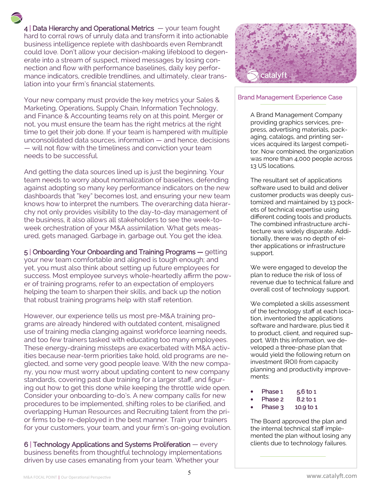$4$  | Data Hierarchy and Operational Metrics  $-$  your team fought hard to corral rows of unruly data and transform it into actionable business intelligence replete with dashboards even Rembrandt could love. Don't allow your decision-making lifeblood to degenerate into a stream of suspect, mixed messages by losing connection and flow with performance baselines, daily key performance indicators, credible trendlines, and ultimately, clear translation into your firm's financial statements.

Your new company must provide the key metrics your Sales & Marketing, Operations, Supply Chain, Information Technology, and Finance & Accounting teams rely on at this point. Merger or not, you must ensure the team has the right metrics at the right time to get their job done. If your team is hampered with multiple unconsolidated data sources, information — and hence, decisions — will not flow with the timeliness and conviction your team needs to be successful.

And getting the data sources lined up is just the beginning. Your team needs to worry about normalization of baselines, defending against adopting so many key performance indicators on the new dashboards that "key" becomes lost, and ensuring your new team knows how to interpret the numbers. The overarching data hierarchy not only provides visibility to the day-to-day management of the business, it also allows all stakeholders to see the week-toweek orchestration of your M&A assimilation. What gets measured, gets managed. Garbage in, garbage out. You get the idea.

5 | Onboarding Your Onboarding and Training Programs — getting your new team comfortable and aligned is tough enough; and yet, you must also think about setting up future employees for success. Most employee surveys whole-heartedly affirm the power of training programs, refer to an expectation of employers helping the team to sharpen their skills, and back up the notion that robust training programs help with staff retention.

However, our experience tells us most pre-M&A training programs are already hindered with outdated content, misaligned use of training media clanging against workforce learning needs, and too few trainers tasked with educating too many employees. These energy-draining missteps are exacerbated with M&A activities because near-term priorities take hold, old programs are neglected, and some very good people leave. With the new company, you now must worry about updating content to new company standards, covering past due training for a larger staff, and figuring out how to get this done while keeping the throttle wide open. Consider your onboarding to-do's. A new company calls for new procedures to be implemented, shifting roles to be clarified, and overlapping Human Resources and Recruiting talent from the prior firms to be re-deployed in the best manner. Train your trainers for your customers, your team, and your firm's on-going evolution.

6 | Technology Applications and Systems Proliferation — every business benefits from thoughtful technology implementations driven by use cases emanating from your team. Whether your



#### Brand Management Experience Case

A Brand Management Company providing graphics services, prepress, advertising materials, packaging, catalogs, and printing services acquired its largest competitor. Now combined, the organization was more than 4,000 people across 13 US locations.

The resultant set of applications software used to build and deliver customer products was deeply customized and maintained by 13 pockets of technical expertise using different coding tools and products. The combined infrastructure architecture was widely disparate. Additionally, there was no depth of either applications or infrastructure support.

We were engaged to develop the plan to reduce the risk of loss of revenue due to technical failure and overall cost of technology support.

We completed a skills assessment of the technology staff at each location, inventoried the applications software and hardware, plus tied it to product, client, and required support. With this information, we developed a three-phase plan that would yield the following return on investment (ROI) from capacity planning and productivity improvements:

| ٠ | Phase 1 | $5.6$ to 1 |
|---|---------|------------|
| ٠ | Phase 2 | 8.2 to 1   |

Phase  $3$  10.9 to 1

The Board approved the plan and the internal technical staff implemented the plan without losing any clients due to technology failures.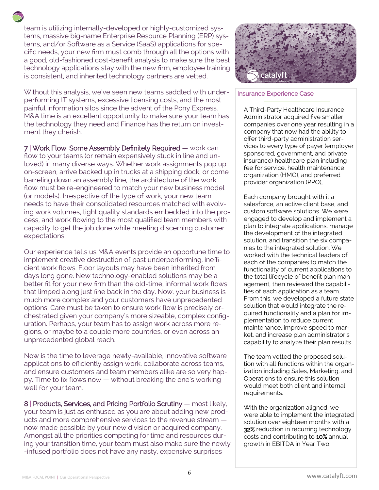team is utilizing internally-developed or highly-customized systems, massive big-name Enterprise Resource Planning (ERP) systems, and/or Software as a Service (SaaS) applications for specific needs, your new firm must comb through all the options with a good, old-fashioned cost-benefit analysis to make sure the best technology applications stay with the new firm, employee training is consistent, and inherited technology partners are vetted.

Without this analysis, we've seen new teams saddled with underperforming IT systems, excessive licensing costs, and the most painful information silos since the advent of the Pony Express. M&A time is an excellent opportunity to make sure your team has the technology they need and Finance has the return on investment they cherish.

7 | Work Flow: Some Assembly Definitely Required — work can flow to your teams (or remain expensively stuck in line and unloved) in many diverse ways. Whether work assignments pop up on-screen, arrive backed up in trucks at a shipping dock, or come barreling down an assembly line, the architecture of the work flow must be re-engineered to match your new business model (or models). Irrespective of the type of work, your new team needs to have their consolidated resources matched with evolving work volumes, tight quality standards embedded into the process, and work flowing to the most qualified team members with capacity to get the job done while meeting discerning customer expectations.

Our experience tells us M&A events provide an opportune time to implement creative destruction of past underperforming, inefficient work flows. Floor layouts may have been inherited from days long gone. New technology-enabled solutions may be a better fit for your new firm than the old-time, informal work flows that limped along just fine back in the day. Now, your business is much more complex and your customers have unprecedented options. Care must be taken to ensure work flow is precisely orchestrated given your company's more sizeable, complex configuration. Perhaps, your team has to assign work across more regions, or maybe to a couple more countries, or even across an unprecedented global reach.

Now is the time to leverage newly-available, innovative software applications to efficiently assign work, collaborate across teams, and ensure customers and team members alike are so very happy. Time to fix flows now — without breaking the one's working well for your team.

8 | Products, Services, and Pricing Portfolio Scrutiny — most likely, your team is just as enthused as you are about adding new products and more comprehensive services to the revenue stream now made possible by your new division or acquired company. Amongst all the priorities competing for time and resources during your transition time, your team must also make sure the newly -infused portfolio does not have any nasty, expensive surprises



#### Insurance Experience Case

A Third-Party Healthcare Insurance Administrator acquired five smaller companies over one year resulting in a company that now had the ability to offer third-party administration services to every type of payer (employer sponsored, government, and private insurance) healthcare plan including fee for service, health maintenance organization (HMO), and preferred provider organization (PPO),

Each company brought with it a salesforce, an active client base, and custom software solutions. We were engaged to develop and implement a plan to integrate applications, manage the development of the integrated solution, and transition the six companies to the integrated solution. We worked with the technical leaders of each of the companies to match the functionality of current applications to the total lifecycle of benefit plan management, then reviewed the capabilities of each application as a team. From this, we developed a future state solution that would integrate the required functionality and a plan for implementation to reduce current maintenance, improve speed to market, and increase plan administrator's capability to analyze their plan results.

The team vetted the proposed solution with all functions within the organization including Sales, Marketing, and Operations to ensure this solution would meet both client and internal requirements.

With the organization aligned, we were able to implement the integrated solution over eighteen months with a 32% reduction in recurring technology costs and contributing to 10% annual growth in EBITDA in Year Two.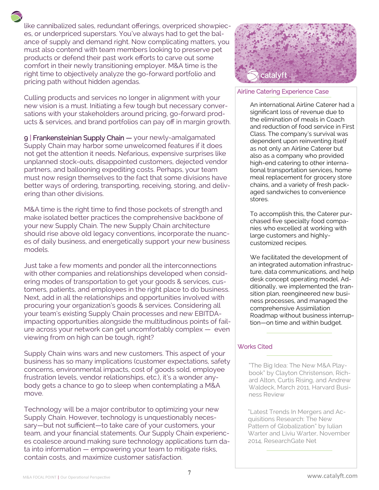like cannibalized sales, redundant offerings, overpriced showpieces, or underpriced superstars. You've always had to get the balance of supply and demand right. Now complicating matters, you must also contend with team members looking to preserve pet products or defend their past work efforts to carve out some comfort in their newly transitioning employer. M&A time is the right time to objectively analyze the go-forward portfolio and pricing path without hidden agendas.

Culling products and services no longer in alignment with your new vision is a must. Initiating a few tough but necessary conversations with your stakeholders around pricing, go-forward products & services, and brand portfolios can pay off in margin growth.

9 | Frankensteinian Supply Chain - your newly-amalgamated Supply Chain may harbor some unwelcomed features if it does not get the attention it needs. Nefarious, expensive surprises like unplanned stock-outs, disappointed customers, dejected vendor partners, and ballooning expediting costs. Perhaps, your team must now resign themselves to the fact that some divisions have better ways of ordering, transporting, receiving, storing, and delivering than other divisions.

M&A time is the right time to find those pockets of strength and make isolated better practices the comprehensive backbone of your new Supply Chain. The new Supply Chain architecture should rise above old legacy conventions, incorporate the nuances of daily business, and energetically support your new business models.

Just take a few moments and ponder all the interconnections with other companies and relationships developed when considering modes of transportation to get your goods & services, customers, patients, and employees in the right place to do business. Next, add in all the relationships and opportunities involved with procuring your organization's goods & services. Considering all your team's existing Supply Chain processes and new EBITDAimpacting opportunities alongside the multitudinous points of failure across your network can get uncomfortably complex — even viewing from on high can be tough, right?

Supply Chain wins wars and new customers. This aspect of your business has so many implications (customer expectations, safety concerns, environmental impacts, cost of goods sold, employee frustration levels, vendor relationships, etc.), it's a wonder anybody gets a chance to go to sleep when contemplating a M&A move.

Technology will be a major contributor to optimizing your new Supply Chain. However, technology is unquestionably necessary—but not sufficient—to take care of your customers, your team, and your financial statements. Our Supply Chain experiences coalesce around making sure technology applications turn data into information — empowering your team to mitigate risks, contain costs, and maximize customer satisfaction.



#### Airline Catering Experience Case

An international Airline Caterer had a significant loss of revenue due to the elimination of meals in Coach and reduction of food service in First Class. The company's survival was dependent upon reinventing itself as not only an Airline Caterer but also as a company who provided high-end catering to other international transportation services, home meal replacement for grocery store chains, and a variety of fresh packaged sandwiches to convenience stores.

To accomplish this, the Caterer purchased five specialty food companies who excelled at working with large customers and highlycustomized recipes.

We facilitated the development of an integrated automation infrastructure, data communications, and help desk concept operating model. Additionally, we implemented the transition plan, reengineered new business processes, and managed the comprehensive Assimilation Roadmap without business interruption—on time and within budget.

#### Works Cited

"The Big Idea: The New M&A Playbook" by Clayton Christenson, Richard Alton, Curtis Rising, and Andrew Waldeck, March 2011, Harvard Business Review

"Latest Trends In Mergers and Acquisitions Research: The New Pattern of Globalization" by Iulian Warter and Liviu Warter, November 2014, ResearchGate Net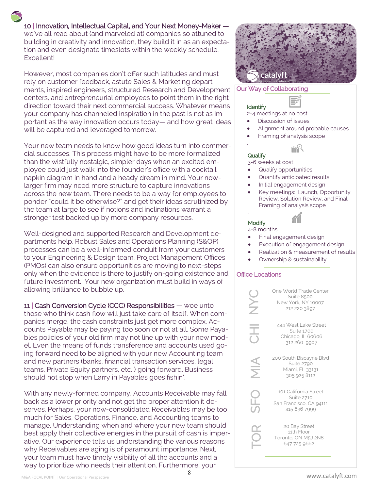10 | Innovation, Intellectual Capital, and Your Next Money-Maker we've all read about (and marveled at) companies so attuned to

building in creativity and innovation, they build it in as an expectation and even designate timeslots within the weekly schedule. Excellent!

However, most companies don't offer such latitudes and must rely on customer feedback, astute Sales & Marketing departments, inspired engineers, structured Research and Development centers, and entrepreneurial employees to point them in the right direction toward their next commercial success. Whatever means your company has channeled inspiration in the past is not as important as the way innovation occurs today— and how great ideas will be captured and leveraged tomorrow.

Your new team needs to know how good ideas turn into commercial successes. This process might have to be more formalized than the wistfully nostalgic, simpler days when an excited employee could just walk into the founder's office with a cocktail napkin diagram in hand and a heady dream in mind. Your nowlarger firm may need more structure to capture innovations across the new team. There needs to be a way for employees to ponder "could it be otherwise?" and get their ideas scrutinized by the team at large to see if notions and inclinations warrant a stronger test backed up by more company resources.

Well-designed and supported Research and Development departments help. Robust Sales and Operations Planning (S&OP) processes can be a well-informed conduit from your customers to your Engineering & Design team. Project Management Offices (PMOs) can also ensure opportunities are moving to next-steps only when the evidence is there to justify on-going existence and future investment. Your new organization must build in ways of allowing brilliance to bubble up.

11 | Cash Conversion Cycle (CCC) Responsibilities — woe unto those who think cash flow will just take care of itself. When companies merge, the cash constraints just get more complex. Accounts Payable may be paying too soon or not at all. Some Payables policies of your old firm may not line up with your new model. Even the means of funds transference and accounts used going forward need to be aligned with your new Accounting team and new partners (banks, financial transaction services, legal teams, Private Equity partners, etc. ) going forward. Business should not stop when Larry in Payables goes fishin'.

With any newly-formed company, Accounts Receivable may fall back as a lower priority and not get the proper attention it deserves. Perhaps, your now-consolidated Receivables may be too much for Sales, Operations, Finance, and Accounting teams to manage. Understanding when and where your new team should best apply their collective energies in the pursuit of cash is imperative. Our experience tells us understanding the various reasons why Receivables are aging is of paramount importance. Next, your team must have timely visibility of all the accounts and a way to prioritize who needs their attention. Furthermore, your



#### Our Way of Collaborating

## Identify

.

.

2-4 meetings at no cost

- Discussion of issues
- Alignment around probable causes
- Framing of analysis scope

#### **Qualify** 3-6 weeks at cost

- Qualify opportunities
- Quantify anticipated results
- Initial engagement design
- Key meetings: Launch, Opportunity Review, Solution Review, and Final Framing of analysis scope



#### **Modify** 4-8 months

- Final engagement design
- Execution of engagement design
- Realization & measurement of results
- Ownership & sustainability

#### Office Locations